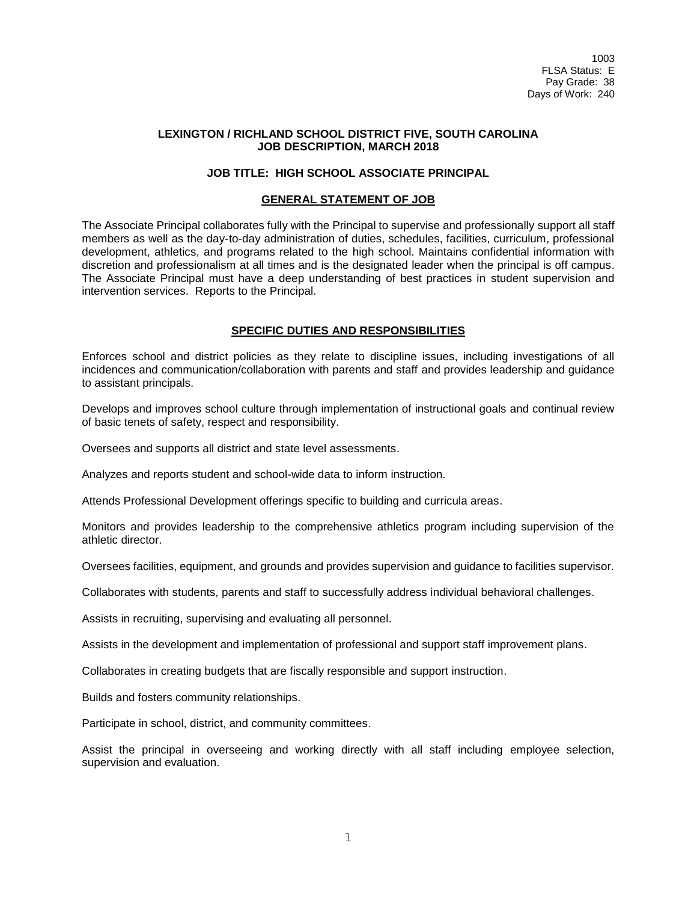## **LEXINGTON / RICHLAND SCHOOL DISTRICT FIVE, SOUTH CAROLINA JOB DESCRIPTION, MARCH 2018**

## **JOB TITLE: HIGH SCHOOL ASSOCIATE PRINCIPAL**

### **GENERAL STATEMENT OF JOB**

The Associate Principal collaborates fully with the Principal to supervise and professionally support all staff members as well as the day-to-day administration of duties, schedules, facilities, curriculum, professional development, athletics, and programs related to the high school. Maintains confidential information with discretion and professionalism at all times and is the designated leader when the principal is off campus. The Associate Principal must have a deep understanding of best practices in student supervision and intervention services. Reports to the Principal.

### **SPECIFIC DUTIES AND RESPONSIBILITIES**

Enforces school and district policies as they relate to discipline issues, including investigations of all incidences and communication/collaboration with parents and staff and provides leadership and guidance to assistant principals.

Develops and improves school culture through implementation of instructional goals and continual review of basic tenets of safety, respect and responsibility.

Oversees and supports all district and state level assessments.

Analyzes and reports student and school-wide data to inform instruction.

Attends Professional Development offerings specific to building and curricula areas.

Monitors and provides leadership to the comprehensive athletics program including supervision of the athletic director.

Oversees facilities, equipment, and grounds and provides supervision and guidance to facilities supervisor.

Collaborates with students, parents and staff to successfully address individual behavioral challenges.

Assists in recruiting, supervising and evaluating all personnel.

Assists in the development and implementation of professional and support staff improvement plans.

Collaborates in creating budgets that are fiscally responsible and support instruction.

Builds and fosters community relationships.

Participate in school, district, and community committees.

Assist the principal in overseeing and working directly with all staff including employee selection, supervision and evaluation.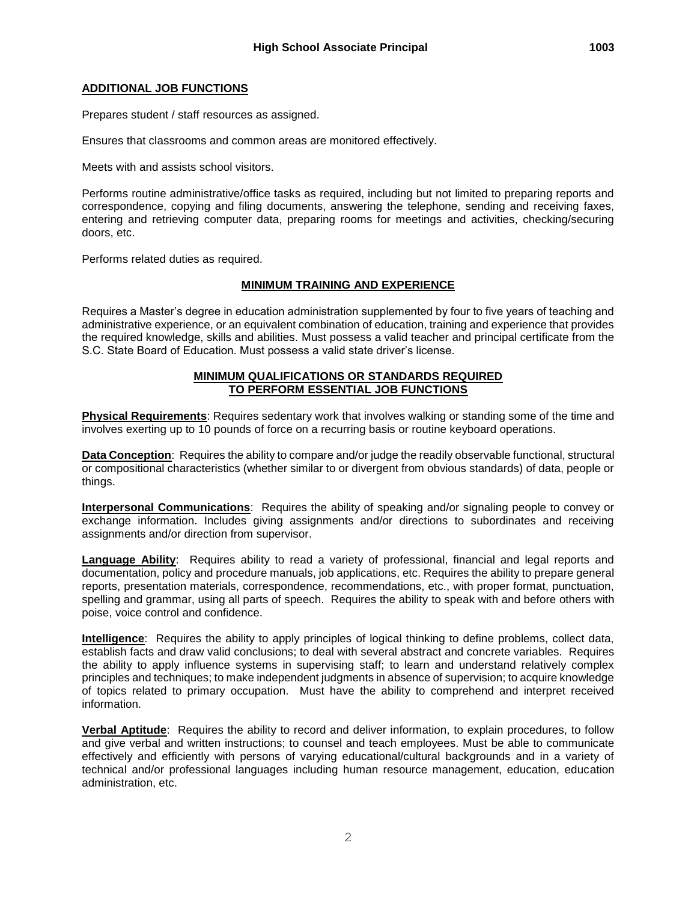## **ADDITIONAL JOB FUNCTIONS**

Prepares student / staff resources as assigned.

Ensures that classrooms and common areas are monitored effectively.

Meets with and assists school visitors.

Performs routine administrative/office tasks as required, including but not limited to preparing reports and correspondence, copying and filing documents, answering the telephone, sending and receiving faxes, entering and retrieving computer data, preparing rooms for meetings and activities, checking/securing doors, etc.

Performs related duties as required.

# **MINIMUM TRAINING AND EXPERIENCE**

Requires a Master's degree in education administration supplemented by four to five years of teaching and administrative experience, or an equivalent combination of education, training and experience that provides the required knowledge, skills and abilities. Must possess a valid teacher and principal certificate from the S.C. State Board of Education. Must possess a valid state driver's license.

### **MINIMUM QUALIFICATIONS OR STANDARDS REQUIRED TO PERFORM ESSENTIAL JOB FUNCTIONS**

**Physical Requirements**: Requires sedentary work that involves walking or standing some of the time and involves exerting up to 10 pounds of force on a recurring basis or routine keyboard operations.

**Data Conception**: Requires the ability to compare and/or judge the readily observable functional, structural or compositional characteristics (whether similar to or divergent from obvious standards) of data, people or things.

**Interpersonal Communications**: Requires the ability of speaking and/or signaling people to convey or exchange information. Includes giving assignments and/or directions to subordinates and receiving assignments and/or direction from supervisor.

**Language Ability**: Requires ability to read a variety of professional, financial and legal reports and documentation, policy and procedure manuals, job applications, etc. Requires the ability to prepare general reports, presentation materials, correspondence, recommendations, etc., with proper format, punctuation, spelling and grammar, using all parts of speech. Requires the ability to speak with and before others with poise, voice control and confidence.

**Intelligence**: Requires the ability to apply principles of logical thinking to define problems, collect data, establish facts and draw valid conclusions; to deal with several abstract and concrete variables. Requires the ability to apply influence systems in supervising staff; to learn and understand relatively complex principles and techniques; to make independent judgments in absence of supervision; to acquire knowledge of topics related to primary occupation. Must have the ability to comprehend and interpret received information.

**Verbal Aptitude**: Requires the ability to record and deliver information, to explain procedures, to follow and give verbal and written instructions; to counsel and teach employees. Must be able to communicate effectively and efficiently with persons of varying educational/cultural backgrounds and in a variety of technical and/or professional languages including human resource management, education, education administration, etc.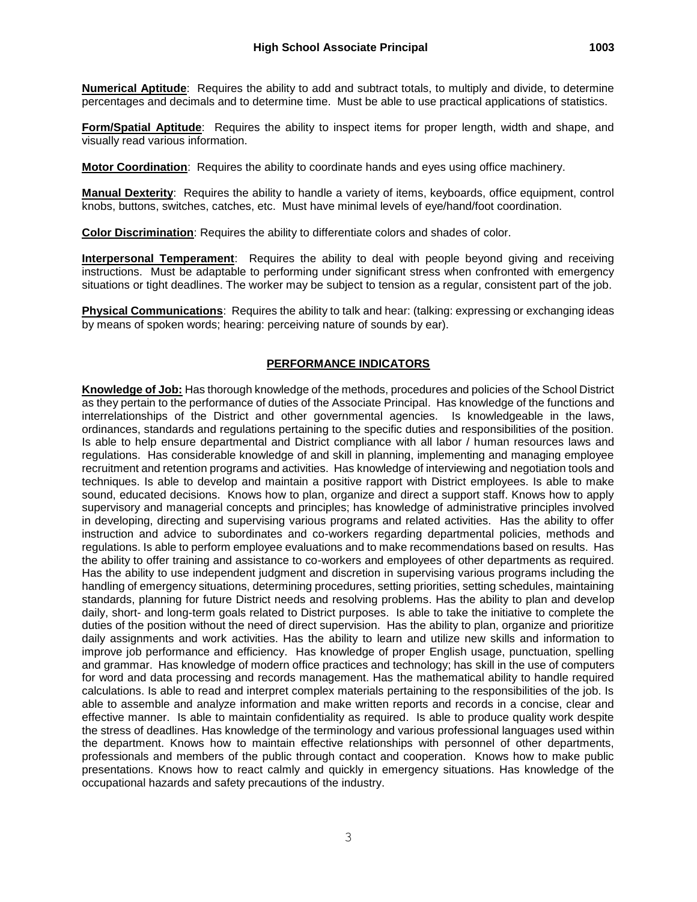**Numerical Aptitude**: Requires the ability to add and subtract totals, to multiply and divide, to determine percentages and decimals and to determine time. Must be able to use practical applications of statistics.

**Form/Spatial Aptitude**: Requires the ability to inspect items for proper length, width and shape, and visually read various information.

**Motor Coordination**: Requires the ability to coordinate hands and eyes using office machinery.

**Manual Dexterity**: Requires the ability to handle a variety of items, keyboards, office equipment, control knobs, buttons, switches, catches, etc. Must have minimal levels of eye/hand/foot coordination.

**Color Discrimination**: Requires the ability to differentiate colors and shades of color.

**Interpersonal Temperament**: Requires the ability to deal with people beyond giving and receiving instructions. Must be adaptable to performing under significant stress when confronted with emergency situations or tight deadlines. The worker may be subject to tension as a regular, consistent part of the job.

**Physical Communications**: Requires the ability to talk and hear: (talking: expressing or exchanging ideas by means of spoken words; hearing: perceiving nature of sounds by ear).

### **PERFORMANCE INDICATORS**

**Knowledge of Job:** Has thorough knowledge of the methods, procedures and policies of the School District as they pertain to the performance of duties of the Associate Principal. Has knowledge of the functions and interrelationships of the District and other governmental agencies. Is knowledgeable in the laws, ordinances, standards and regulations pertaining to the specific duties and responsibilities of the position. Is able to help ensure departmental and District compliance with all labor / human resources laws and regulations. Has considerable knowledge of and skill in planning, implementing and managing employee recruitment and retention programs and activities. Has knowledge of interviewing and negotiation tools and techniques. Is able to develop and maintain a positive rapport with District employees. Is able to make sound, educated decisions. Knows how to plan, organize and direct a support staff. Knows how to apply supervisory and managerial concepts and principles; has knowledge of administrative principles involved in developing, directing and supervising various programs and related activities. Has the ability to offer instruction and advice to subordinates and co-workers regarding departmental policies, methods and regulations. Is able to perform employee evaluations and to make recommendations based on results. Has the ability to offer training and assistance to co-workers and employees of other departments as required. Has the ability to use independent judgment and discretion in supervising various programs including the handling of emergency situations, determining procedures, setting priorities, setting schedules, maintaining standards, planning for future District needs and resolving problems. Has the ability to plan and develop daily, short- and long-term goals related to District purposes. Is able to take the initiative to complete the duties of the position without the need of direct supervision. Has the ability to plan, organize and prioritize daily assignments and work activities. Has the ability to learn and utilize new skills and information to improve job performance and efficiency. Has knowledge of proper English usage, punctuation, spelling and grammar. Has knowledge of modern office practices and technology; has skill in the use of computers for word and data processing and records management. Has the mathematical ability to handle required calculations. Is able to read and interpret complex materials pertaining to the responsibilities of the job. Is able to assemble and analyze information and make written reports and records in a concise, clear and effective manner. Is able to maintain confidentiality as required. Is able to produce quality work despite the stress of deadlines. Has knowledge of the terminology and various professional languages used within the department. Knows how to maintain effective relationships with personnel of other departments, professionals and members of the public through contact and cooperation. Knows how to make public presentations. Knows how to react calmly and quickly in emergency situations. Has knowledge of the occupational hazards and safety precautions of the industry.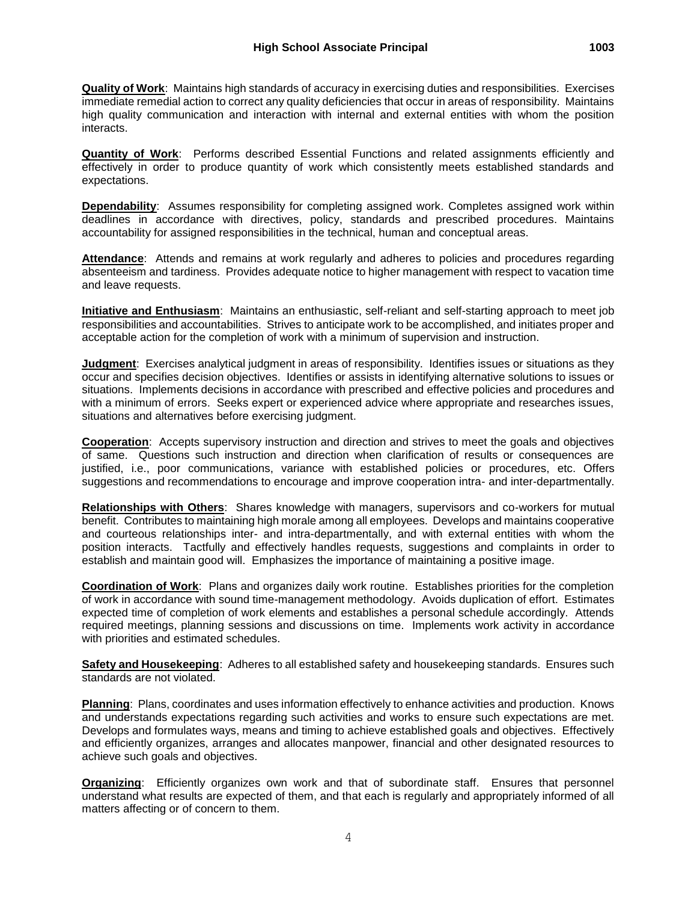**Quantity of Work**: Performs described Essential Functions and related assignments efficiently and effectively in order to produce quantity of work which consistently meets established standards and expectations.

**Dependability**: Assumes responsibility for completing assigned work. Completes assigned work within deadlines in accordance with directives, policy, standards and prescribed procedures. Maintains accountability for assigned responsibilities in the technical, human and conceptual areas.

Attendance: Attends and remains at work regularly and adheres to policies and procedures regarding absenteeism and tardiness. Provides adequate notice to higher management with respect to vacation time and leave requests.

**Initiative and Enthusiasm**: Maintains an enthusiastic, self-reliant and self-starting approach to meet job responsibilities and accountabilities. Strives to anticipate work to be accomplished, and initiates proper and acceptable action for the completion of work with a minimum of supervision and instruction.

**Judgment**: Exercises analytical judgment in areas of responsibility. Identifies issues or situations as they occur and specifies decision objectives. Identifies or assists in identifying alternative solutions to issues or situations. Implements decisions in accordance with prescribed and effective policies and procedures and with a minimum of errors. Seeks expert or experienced advice where appropriate and researches issues, situations and alternatives before exercising judgment.

**Cooperation**: Accepts supervisory instruction and direction and strives to meet the goals and objectives of same. Questions such instruction and direction when clarification of results or consequences are justified, i.e., poor communications, variance with established policies or procedures, etc. Offers suggestions and recommendations to encourage and improve cooperation intra- and inter-departmentally.

**Relationships with Others**: Shares knowledge with managers, supervisors and co-workers for mutual benefit. Contributes to maintaining high morale among all employees. Develops and maintains cooperative and courteous relationships inter- and intra-departmentally, and with external entities with whom the position interacts. Tactfully and effectively handles requests, suggestions and complaints in order to establish and maintain good will. Emphasizes the importance of maintaining a positive image.

**Coordination of Work**: Plans and organizes daily work routine. Establishes priorities for the completion of work in accordance with sound time-management methodology. Avoids duplication of effort. Estimates expected time of completion of work elements and establishes a personal schedule accordingly. Attends required meetings, planning sessions and discussions on time. Implements work activity in accordance with priorities and estimated schedules.

**Safety and Housekeeping**: Adheres to all established safety and housekeeping standards. Ensures such standards are not violated.

**Planning**: Plans, coordinates and uses information effectively to enhance activities and production. Knows and understands expectations regarding such activities and works to ensure such expectations are met. Develops and formulates ways, means and timing to achieve established goals and objectives. Effectively and efficiently organizes, arranges and allocates manpower, financial and other designated resources to achieve such goals and objectives.

**Organizing**: Efficiently organizes own work and that of subordinate staff. Ensures that personnel understand what results are expected of them, and that each is regularly and appropriately informed of all matters affecting or of concern to them.